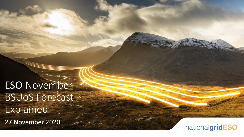ESO November BSUoS Forecast s Explained 27 November 2020